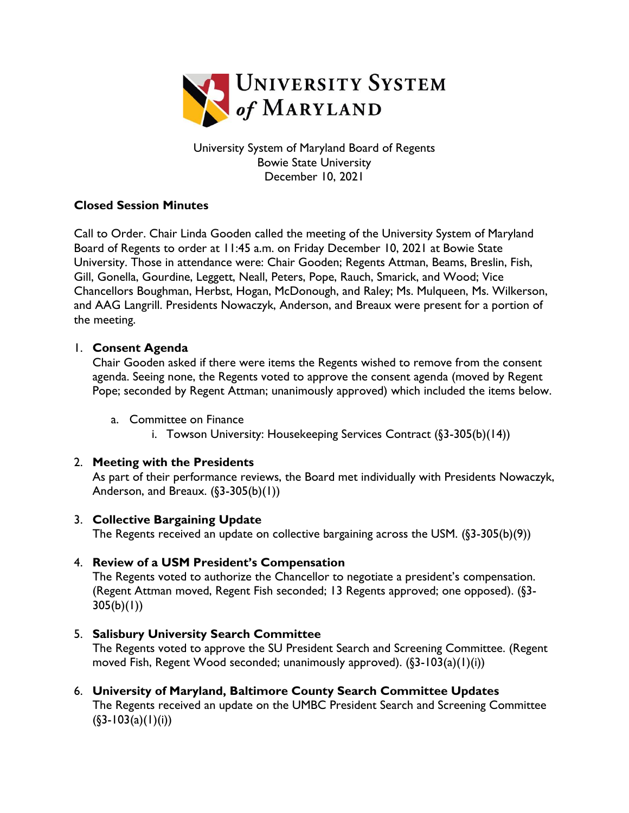

University System of Maryland Board of Regents Bowie State University December 10, 2021

# **Closed Session Minutes**

Call to Order. Chair Linda Gooden called the meeting of the University System of Maryland Board of Regents to order at 11:45 a.m. on Friday December 10, 2021 at Bowie State University. Those in attendance were: Chair Gooden; Regents Attman, Beams, Breslin, Fish, Gill, Gonella, Gourdine, Leggett, Neall, Peters, Pope, Rauch, Smarick, and Wood; Vice Chancellors Boughman, Herbst, Hogan, McDonough, and Raley; Ms. Mulqueen, Ms. Wilkerson, and AAG Langrill. Presidents Nowaczyk, Anderson, and Breaux were present for a portion of the meeting.

## 1. **Consent Agenda**

Chair Gooden asked if there were items the Regents wished to remove from the consent agenda. Seeing none, the Regents voted to approve the consent agenda (moved by Regent Pope; seconded by Regent Attman; unanimously approved) which included the items below.

- a. Committee on Finance
	- i. Towson University: Housekeeping Services Contract (§3-305(b)(14))

## 2. **Meeting with the Presidents**

As part of their performance reviews, the Board met individually with Presidents Nowaczyk, Anderson, and Breaux.  $(\S 3 - 305(b)(1))$ 

## 3. **Collective Bargaining Update**

The Regents received an update on collective bargaining across the USM. (§3-305(b)(9))

## 4. **Review of a USM President's Compensation**

The Regents voted to authorize the Chancellor to negotiate a president's compensation. (Regent Attman moved, Regent Fish seconded; 13 Regents approved; one opposed). (§3-  $305(b)(1)$ 

## 5. **Salisbury University Search Committee**

The Regents voted to approve the SU President Search and Screening Committee. (Regent moved Fish, Regent Wood seconded; unanimously approved).  $(\frac{2}{3}-103(a)(1)(i))$ 

6. **University of Maryland, Baltimore County Search Committee Updates**  The Regents received an update on the UMBC President Search and Screening Committee  $(S3-103(a)(1)(i))$